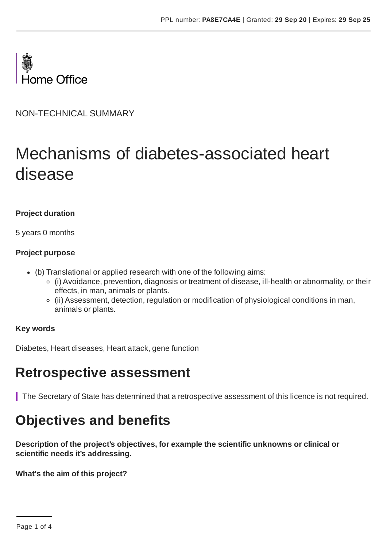

NON-TECHNICAL SUMMARY

# Mechanisms of diabetes-associated heart disease

#### **Project duration**

5 years 0 months

#### **Project purpose**

- (b) Translational or applied research with one of the following aims:
	- (i) Avoidance, prevention, diagnosis or treatment of disease, ill-health or abnormality, or their effects, in man, animals or plants.
	- (ii) Assessment, detection, regulation or modification of physiological conditions in man, animals or plants.

#### **Key words**

Diabetes, Heart diseases, Heart attack, gene function

### **Retrospective assessment**

The Secretary of State has determined that a retrospective assessment of this licence is not required.

### **Objectives and benefits**

**Description of the project's objectives, for example the scientific unknowns or clinical or scientific needs it's addressing.**

**What's the aim of this project?**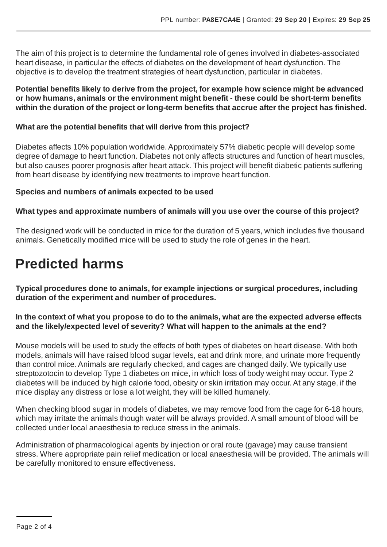The aim of this project is to determine the fundamental role of genes involved in diabetes-associated heart disease, in particular the effects of diabetes on the development of heart dysfunction. The objective is to develop the treatment strategies of heart dysfunction, particular in diabetes.

#### **Potential benefits likely to derive from the project, for example how science might be advanced or how humans, animals or the environment might benefit - these could be short-term benefits within the duration of the project or long-term benefits that accrue after the project has finished.**

#### **What are the potential benefits that will derive from this project?**

Diabetes affects 10% population worldwide.Approximately 57% diabetic people will develop some degree of damage to heart function. Diabetes not only affects structures and function of heart muscles, but also causes poorer prognosis after heart attack. This project will benefit diabetic patients suffering from heart disease by identifying new treatments to improve heart function.

#### **Species and numbers of animals expected to be used**

#### **What types and approximate numbers of animals will you use over the course of this project?**

The designed work will be conducted in mice for the duration of 5 years, which includes five thousand animals. Genetically modified mice will be used to study the role of genes in the heart.

### **Predicted harms**

**Typical procedures done to animals, for example injections or surgical procedures, including duration of the experiment and number of procedures.**

#### **In the context of what you propose to do to the animals, what are the expected adverse effects and the likely/expected level of severity? What will happen to the animals at the end?**

Mouse models will be used to study the effects of both types of diabetes on heart disease. With both models, animals will have raised blood sugar levels, eat and drink more, and urinate more frequently than control mice.Animals are regularly checked, and cages are changed daily. We typically use streptozotocin to develop Type 1 diabetes on mice, in which loss of body weight may occur. Type 2 diabetes will be induced by high calorie food, obesity or skin irritation may occur.At any stage, if the mice display any distress or lose a lot weight, they will be killed humanely.

When checking blood sugar in models of diabetes, we may remove food from the cage for 6-18 hours, which may irritate the animals though water will be always provided. A small amount of blood will be collected under local anaesthesia to reduce stress in the animals.

Administration of pharmacological agents by injection or oral route (gavage) may cause transient stress. Where appropriate pain relief medication or local anaesthesia will be provided. The animals will be carefully monitored to ensure effectiveness.

Page 2 of 4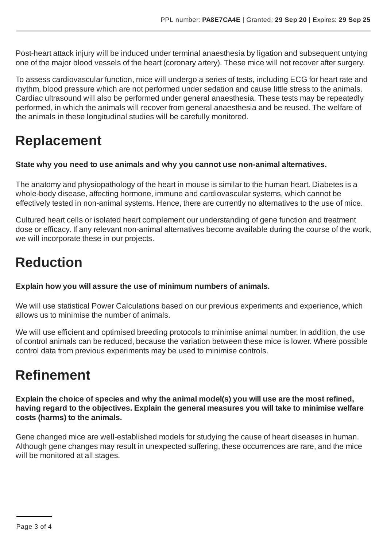Post-heart attack injury will be induced under terminal anaesthesia by ligation and subsequent untying one of the major blood vessels of the heart (coronary artery). These mice will not recover after surgery.

To assess cardiovascular function, mice will undergo a series of tests, including ECG for heart rate and rhythm, blood pressure which are not performed under sedation and cause little stress to the animals. Cardiac ultrasound will also be performed under general anaesthesia. These tests may be repeatedly performed, in which the animals will recover from general anaesthesia and be reused. The welfare of the animals in these longitudinal studies will be carefully monitored.

# **Replacement**

#### **State why you need to use animals and why you cannot use non-animal alternatives.**

The anatomy and physiopathology of the heart in mouse is similar to the human heart. Diabetes is a whole-body disease, affecting hormone, immune and cardiovascular systems, which cannot be effectively tested in non-animal systems. Hence, there are currently no alternatives to the use of mice.

Cultured heart cells or isolated heart complement our understanding of gene function and treatment dose or efficacy. If any relevant non-animal alternatives become available during the course of the work, we will incorporate these in our projects.

# **Reduction**

**Explain how you will assure the use of minimum numbers of animals.**

We will use statistical Power Calculations based on our previous experiments and experience, which allows us to minimise the number of animals.

We will use efficient and optimised breeding protocols to minimise animal number. In addition, the use of control animals can be reduced, because the variation between these mice is lower. Where possible control data from previous experiments may be used to minimise controls.

### **Refinement**

**Explain the choice of species and why the animal model(s) you will use are the most refined, having regard to the objectives. Explain the general measures you will take to minimise welfare costs (harms) to the animals.**

Gene changed mice are well-established models for studying the cause of heart diseases in human. Although gene changes may result in unexpected suffering, these occurrences are rare, and the mice will be monitored at all stages.